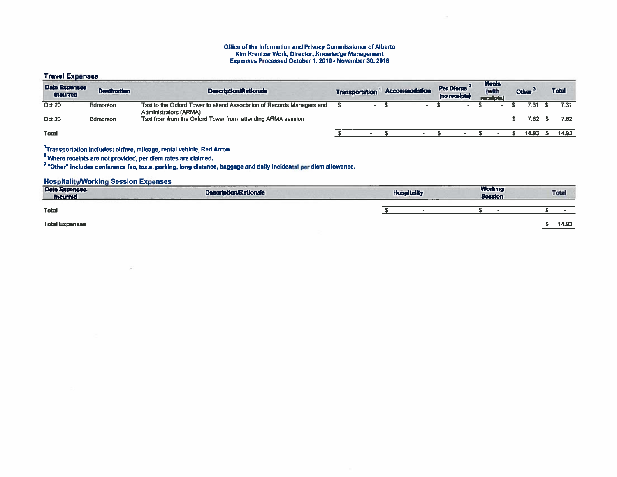#### Office of the Information and Privacy Commissioner of Alberta Kim Kreutzer Work, Director. Knowledge Management Expenses Processed October 1,2016 - November 30, 2016

### Travel Expenses

| <b>Date Expenses</b><br><b>Incurred</b> | <b>Destination</b> | <b>Description/Rationale</b>                                                                           | <b>Transportation</b> |           | <b>Accommodation</b> | Per Dierris<br>(no receipts) | <b>Meals</b><br>(with<br>receipts) | Other <sup>3</sup> | <b>Total</b> |
|-----------------------------------------|--------------------|--------------------------------------------------------------------------------------------------------|-----------------------|-----------|----------------------|------------------------------|------------------------------------|--------------------|--------------|
| <b>Oct 20</b>                           | <b>Edmonton</b>    | Taxi to the Oxford Tower to attend Association of Records Managers and<br><b>Administrators (ARMA)</b> |                       |           |                      | $\rightarrow$                |                                    | 7.31 S             | 7.31         |
| <b>Oct 20</b>                           | <b>Edmonton</b>    | Taxi from from the Oxford Tower from attending ARMA session                                            |                       |           |                      |                              |                                    | 7.62 S             | 7.62         |
| <b>Total</b>                            |                    |                                                                                                        |                       | $\bullet$ |                      |                              |                                    | 14.93              | 14.93        |

# 1Transportation Includes: airfare, mileage, rental vehicle, Red Arrow

2Where receipts are not provided, per diem rates are claimed,

"Other' includes conference fee, taxis, parking, long distance, baggage and daily incidental per diem atlowance.

### Hospitality)Working Session Expenses

| <b>Date Expenses</b><br><b>Incurred</b> | <b>Description/Rationale</b> | ---<br><b>Hospitality</b> | <b>Working</b><br><b>Session</b> | <b>Total</b><br><b><i><u><u>ALCO</u></u></i></b> |
|-----------------------------------------|------------------------------|---------------------------|----------------------------------|--------------------------------------------------|
| <b>Total</b>                            |                              |                           |                                  |                                                  |
| <b>Total Expenses</b>                   |                              |                           |                                  | 14.93                                            |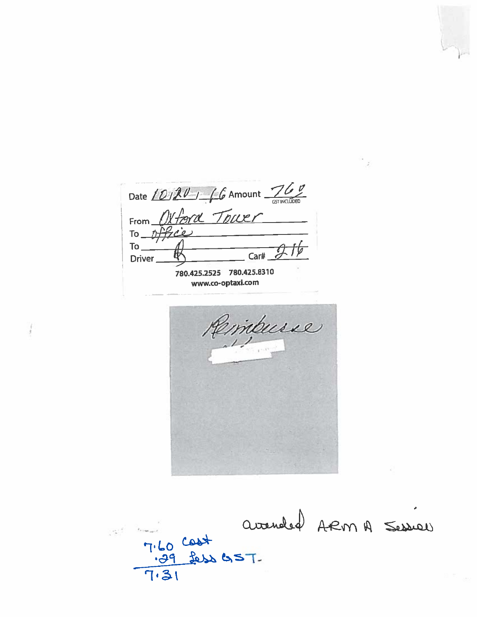Date  $(0/20)$  6 Amount  $760$ From Oxford Tower *nthie* To,  $To_$ Car# Driver 780.425.2525 780.425.8310 www.co-optaxi.com

Rembusse

avanded ARM A Session 7.60 Cost<br>7.39 Less es T-<br>7.31  $\label{eq:1} \frac{e_{\infty}^{n+1}}{n} = \frac{e_{n+1}}{n} \log \frac{1}{n+1}$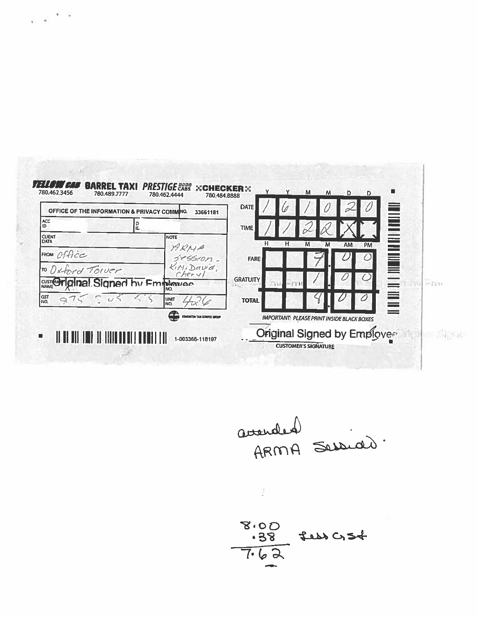| OFFICE OF THE INFORMATION & PRIVACY COMMINO.<br>  ACC<br>ID. | 33661181<br>IL.                  | TIME            |                                                   |   |                        | n<br>Hilling<br>Hilling |         |
|--------------------------------------------------------------|----------------------------------|-----------------|---------------------------------------------------|---|------------------------|-------------------------|---------|
| <b>CUENT</b><br><b>DATA</b>                                  | <b>NOTE</b>                      | Н.              | н<br>M                                            | M | <b>AM</b><br><b>PM</b> |                         |         |
| FROM Office                                                  | ARMA<br>$385510M -$              | <b>FARE</b>     |                                                   |   |                        |                         |         |
| To Oxford Tower                                              | KiM, David,                      |                 |                                                   |   |                        | N HIELD                 |         |
| <b>CUST@Piginal Signed by Emphonics</b>                      | IŃO.                             | <b>GRATUITY</b> |                                                   |   |                        |                         | $-7711$ |
| GST<br>NO.                                                   | UNIT<br>NO.                      | <b>TOTAL</b>    |                                                   |   |                        | E                       |         |
|                                                              | æ<br>EDMONTON TAXI SERVICE GROUP |                 | <b>IMPORTANT: PLEASE PRINT INSIDE BLACK BOXES</b> |   |                        |                         |         |

avended :<br>ARMA Sessido.

 $8.00$ <br> $-38$  feb  $054$ <br> $7.62$ 

 $\hat{\mathbf{r}}$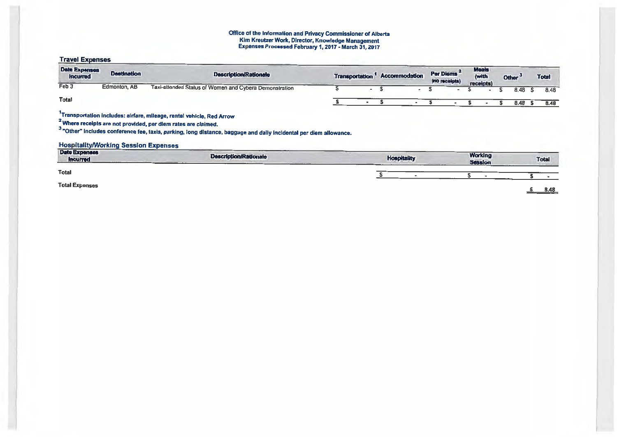#### Office of the Information and Privacy Commissioner of Albert Kim Kreutzer Work, Director, Knowledge Management Expenses Processed February I, 2017- March 31, 2017

## Travel Expenses

| <b>Date Expenses</b><br><b>Incurred</b>     | <b>Destination</b> | <b>Description/Rationale</b>                                                                                                                                                                                                                                                       | <b>Transportation</b>    | Accommodation      | Per Diems<br>(no receipts) | <b>Meals</b><br>(with<br>receipts) | Other <sup>3</sup> | <b>Total</b> |
|---------------------------------------------|--------------------|------------------------------------------------------------------------------------------------------------------------------------------------------------------------------------------------------------------------------------------------------------------------------------|--------------------------|--------------------|----------------------------|------------------------------------|--------------------|--------------|
| Feb 3                                       | Edmonton, AB       | Taxi-attended Status of Women and Cybera Demonstration                                                                                                                                                                                                                             | $\overline{\phantom{0}}$ |                    |                            |                                    | 8.48               | 8.48         |
| <b>Total</b>                                |                    |                                                                                                                                                                                                                                                                                    |                          |                    |                            |                                    | 8.48               | 8.48         |
| <b>Hospitality/Working Session Expenses</b> |                    | Transportation includes: airfare, mileage, rental vehicle, Red Arrow<br><sup>2</sup> Where receipts are not provided, per diem rates are claimed.<br><sup>3</sup> "Other" includes conference fee, taxis, parking, long distance, baggage and daily incidental per diem allowance. |                          |                    |                            |                                    |                    |              |
| <b>Date Expenses</b><br><b>Incurred</b>     |                    | <b>Description/Rationale</b>                                                                                                                                                                                                                                                       |                          | <b>Hospitality</b> |                            | <b>Working</b><br><b>Session</b>   |                    | Total        |
| <b>Total</b>                                |                    |                                                                                                                                                                                                                                                                                    |                          |                    |                            |                                    |                    |              |
| <b>Total Expenses</b>                       |                    |                                                                                                                                                                                                                                                                                    |                          |                    |                            |                                    |                    | R AR         |